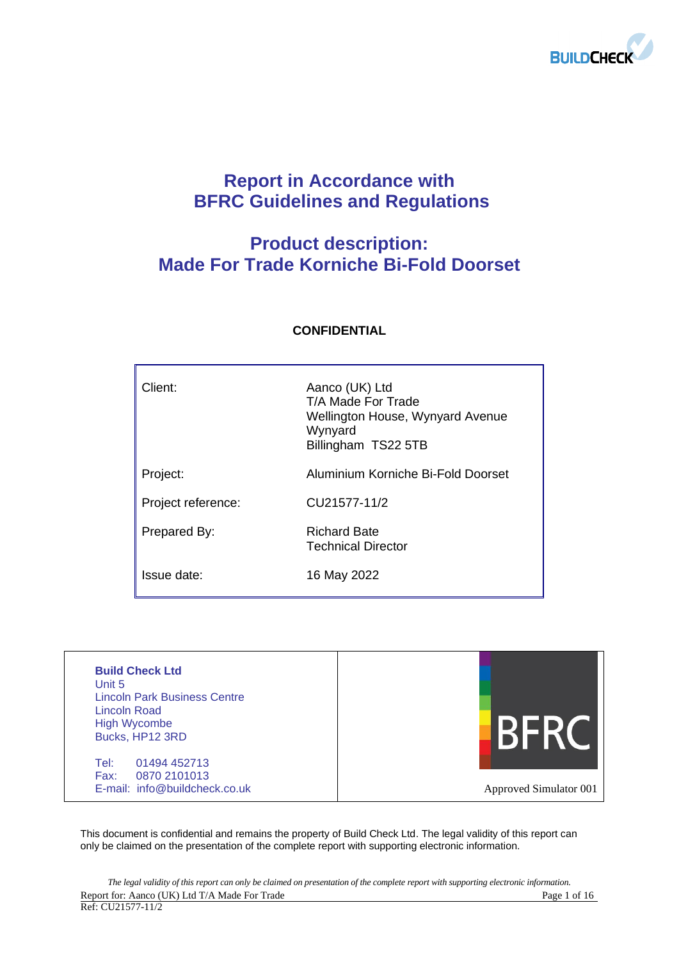

# **Report in Accordance with BFRC Guidelines and Regulations**

# **Product description: Made For Trade Korniche Bi-Fold Doorset**

| Client:            | Aanco (UK) Ltd<br>T/A Made For Trade<br>Wellington House, Wynyard Avenue<br>Wynyard<br>Billingham TS22 5TB |
|--------------------|------------------------------------------------------------------------------------------------------------|
| Project:           | Aluminium Korniche Bi-Fold Doorset                                                                         |
| Project reference: | CU21577-11/2                                                                                               |
| Prepared By:       | <b>Richard Bate</b><br><b>Technical Director</b>                                                           |
| Issue date:        | 16 May 2022                                                                                                |

## **CONFIDENTIAL**

| <b>Build Check Ltd</b><br>Unit 5<br><b>Lincoln Park Business Centre</b><br>Lincoln Road<br><b>High Wycombe</b><br>Bucks, HP12 3RD |                        |
|-----------------------------------------------------------------------------------------------------------------------------------|------------------------|
| Tel:<br>01494 452713<br>0870 2101013<br>Fax:<br>E-mail: info@buildcheck.co.uk                                                     | Approved Simulator 001 |

This document is confidential and remains the property of Build Check Ltd. The legal validity of this report can only be claimed on the presentation of the complete report with supporting electronic information.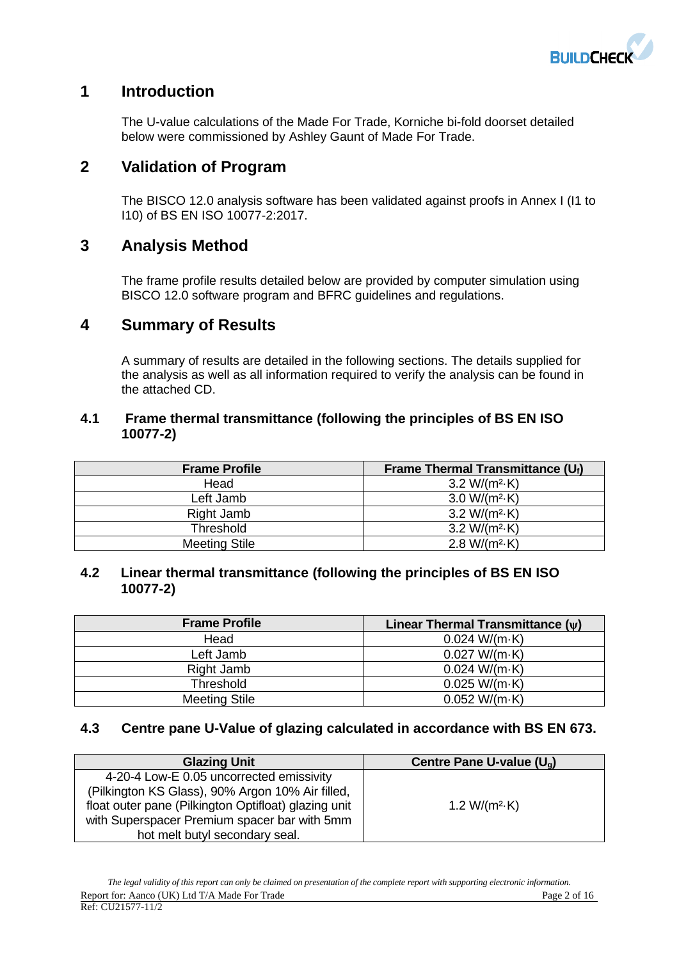

## **1 Introduction**

The U-value calculations of the Made For Trade, Korniche bi-fold doorset detailed below were commissioned by Ashley Gaunt of Made For Trade.

## **2 Validation of Program**

The BISCO 12.0 analysis software has been validated against proofs in Annex I (I1 to I10) of BS EN ISO 10077-2:2017.

## **3 Analysis Method**

The frame profile results detailed below are provided by computer simulation using BISCO 12.0 software program and BFRC guidelines and regulations.

## **4 Summary of Results**

A summary of results are detailed in the following sections. The details supplied for the analysis as well as all information required to verify the analysis can be found in the attached CD.

## **4.1 Frame thermal transmittance (following the principles of BS EN ISO 10077-2)**

| <b>Frame Profile</b> | Frame Thermal Transmittance $(U_i)$ |
|----------------------|-------------------------------------|
| Head                 | 3.2 W/( $m^2$ -K)                   |
| Left Jamb            | $3.0 W/(m^2 \cdot K)$               |
| Right Jamb           | $3.2 W/(m^2 \cdot K)$               |
| <b>Threshold</b>     | $3.2 W/(m^2 \cdot K)$               |
| <b>Meeting Stile</b> | $2.8 W/(m^2 \cdot K)$               |

## **4.2 Linear thermal transmittance (following the principles of BS EN ISO 10077-2)**

| <b>Frame Profile</b> | Linear Thermal Transmittance $(v)$ |
|----------------------|------------------------------------|
| Head                 | 0.024 W/(m·K)                      |
| Left Jamb            | 0.027 W/(m·K)                      |
| Right Jamb           | 0.024 W/(m·K)                      |
| Threshold            | 0.025 W/(m·K)                      |
| <b>Meeting Stile</b> | 0.052 W/(m·K)                      |

## **4.3 Centre pane U-Value of glazing calculated in accordance with BS EN 673.**

| <b>Glazing Unit</b>                                  | Centre Pane U-value $(U_a)$ |
|------------------------------------------------------|-----------------------------|
| 4-20-4 Low-E 0.05 uncorrected emissivity             |                             |
| (Pilkington KS Glass), 90% Argon 10% Air filled,     |                             |
| float outer pane (Pilkington Optifloat) glazing unit | 1.2 W/( $m^2$ -K)           |
| with Superspacer Premium spacer bar with 5mm         |                             |
| hot melt butyl secondary seal.                       |                             |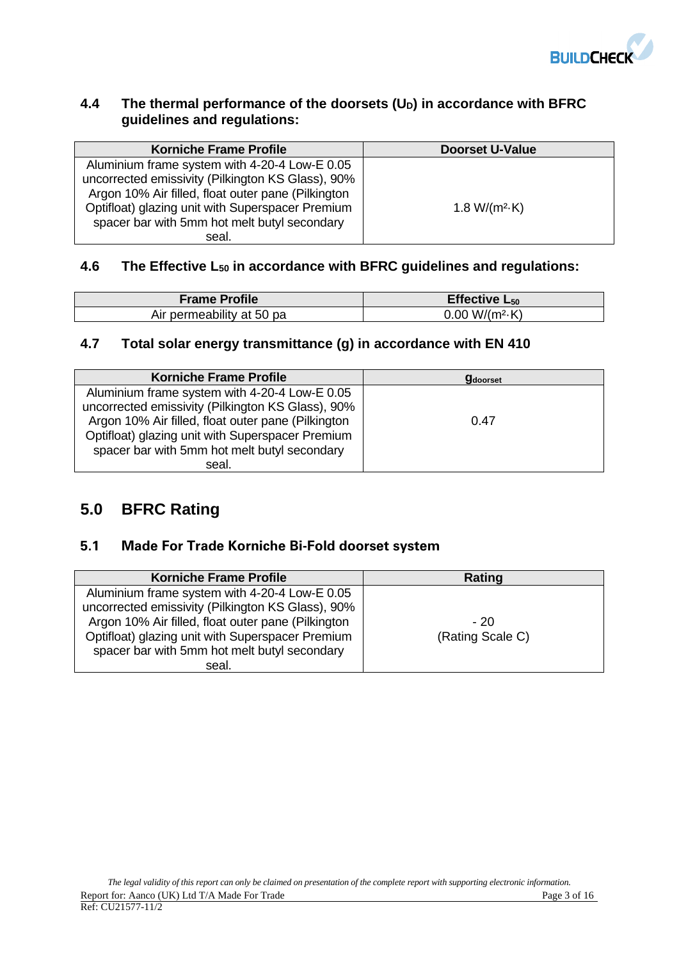

## **4.4 The thermal performance of the doorsets (UD) in accordance with BFRC guidelines and regulations:**

| <b>Korniche Frame Profile</b>                                                                                                                                                                                | <b>Doorset U-Value</b> |
|--------------------------------------------------------------------------------------------------------------------------------------------------------------------------------------------------------------|------------------------|
| Aluminium frame system with 4-20-4 Low-E 0.05<br>uncorrected emissivity (Pilkington KS Glass), 90%<br>Argon 10% Air filled, float outer pane (Pilkington<br>Optifloat) glazing unit with Superspacer Premium | 1.8 W/( $m^2$ -K)      |
| spacer bar with 5mm hot melt butyl secondary<br>seal.                                                                                                                                                        |                        |

## **4.6 The Effective L<sup>50</sup> in accordance with BFRC guidelines and regulations:**

| <b>Frame Profile</b>      | Effective $L_{50}$     |
|---------------------------|------------------------|
| Air permeability at 50 pa | $0.00 W/(m^2 \cdot K)$ |

## **4.7 Total solar energy transmittance (g) in accordance with EN 410**

| <b>Korniche Frame Profile</b>                      | <b>g</b> doorset |
|----------------------------------------------------|------------------|
| Aluminium frame system with 4-20-4 Low-E 0.05      |                  |
| uncorrected emissivity (Pilkington KS Glass), 90%  |                  |
| Argon 10% Air filled, float outer pane (Pilkington | 0.47             |
| Optifloat) glazing unit with Superspacer Premium   |                  |
| spacer bar with 5mm hot melt butyl secondary       |                  |
| seal.                                              |                  |

# **5.0 BFRC Rating**

## **5.1 Made For Trade Korniche Bi-Fold doorset system**

| <b>Korniche Frame Profile</b>                      | Rating           |
|----------------------------------------------------|------------------|
| Aluminium frame system with 4-20-4 Low-E 0.05      |                  |
| uncorrected emissivity (Pilkington KS Glass), 90%  |                  |
| Argon 10% Air filled, float outer pane (Pilkington | $-20$            |
| Optifloat) glazing unit with Superspacer Premium   | (Rating Scale C) |
| spacer bar with 5mm hot melt butyl secondary       |                  |
| seal.                                              |                  |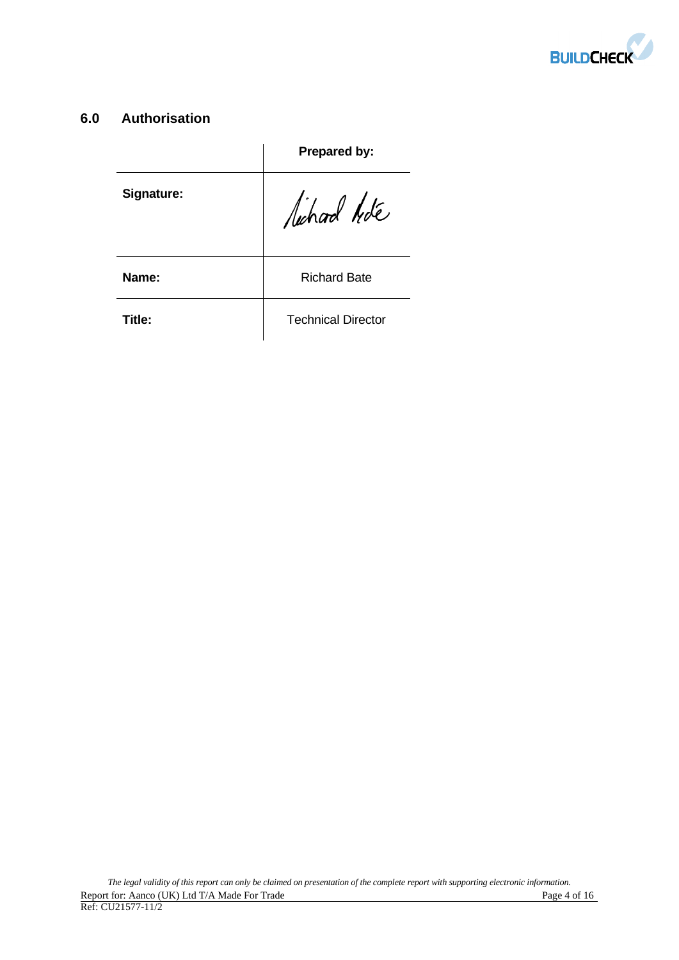

## **6.0 Authorisation**

|            | Prepared by:              |
|------------|---------------------------|
| Signature: | lichard hote              |
| Name:      | <b>Richard Bate</b>       |
| Title:     | <b>Technical Director</b> |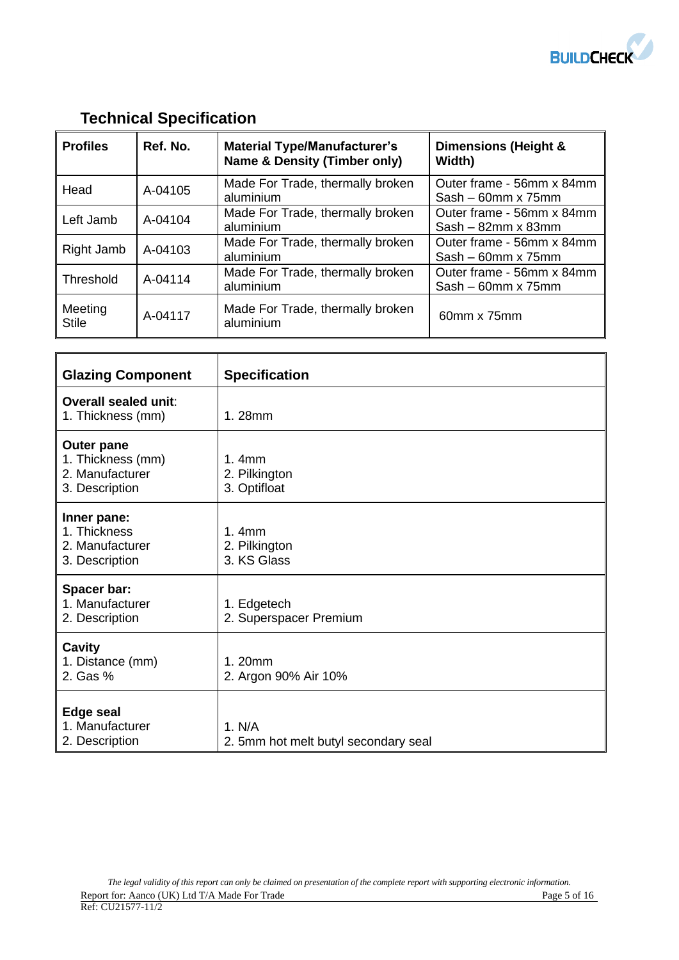

# **Technical Specification**

| <b>Profiles</b>         | Ref. No. | <b>Material Type/Manufacturer's</b><br><b>Name &amp; Density (Timber only)</b> | Dimensions (Height &<br>Width)                         |
|-------------------------|----------|--------------------------------------------------------------------------------|--------------------------------------------------------|
| Head                    | A-04105  | Made For Trade, thermally broken<br>aluminium                                  | Outer frame - 56mm x 84mm<br>$Sash - 60mm \times 75mm$ |
| Left Jamb               | A-04104  | Made For Trade, thermally broken<br>aluminium                                  | Outer frame - 56mm x 84mm<br>$Sash - 82mm \times 83mm$ |
| Right Jamb              | A-04103  | Made For Trade, thermally broken<br>aluminium                                  | Outer frame - 56mm x 84mm<br>$Sash - 60mm \times 75mm$ |
| Threshold               | A-04114  | Made For Trade, thermally broken<br>aluminium                                  | Outer frame - 56mm x 84mm<br>$Sash - 60mm \times 75mm$ |
| Meeting<br><b>Stile</b> | A-04117  | Made For Trade, thermally broken<br>aluminium                                  | 60mm x 75mm                                            |

| <b>Glazing Component</b>                                                    | <b>Specification</b>                              |
|-----------------------------------------------------------------------------|---------------------------------------------------|
| Overall sealed unit:<br>1. Thickness (mm)                                   | 1.28mm                                            |
| <b>Outer pane</b><br>1. Thickness (mm)<br>2. Manufacturer<br>3. Description | 1.4mm<br>2. Pilkington<br>3. Optifloat            |
| Inner pane:<br>1. Thickness<br>2. Manufacturer<br>3. Description            | 1.4 <sub>mm</sub><br>2. Pilkington<br>3. KS Glass |
| Spacer bar:<br>1. Manufacturer<br>2. Description                            | 1. Edgetech<br>2. Superspacer Premium             |
| Cavity<br>1. Distance (mm)<br>2. Gas %                                      | 1.20mm<br>2. Argon 90% Air 10%                    |
| <b>Edge seal</b><br>1. Manufacturer<br>2. Description                       | 1. N/A<br>2. 5mm hot melt butyl secondary seal    |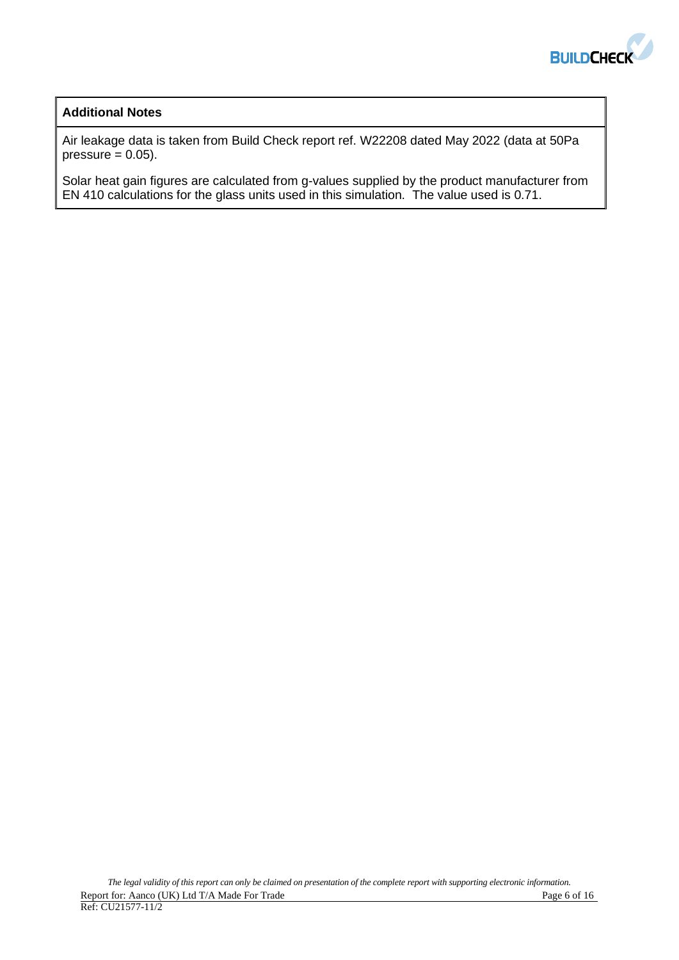

## **Additional Notes**

Air leakage data is taken from Build Check report ref. W22208 dated May 2022 (data at 50Pa pressure  $= 0.05$ ).

Solar heat gain figures are calculated from g-values supplied by the product manufacturer from EN 410 calculations for the glass units used in this simulation. The value used is 0.71.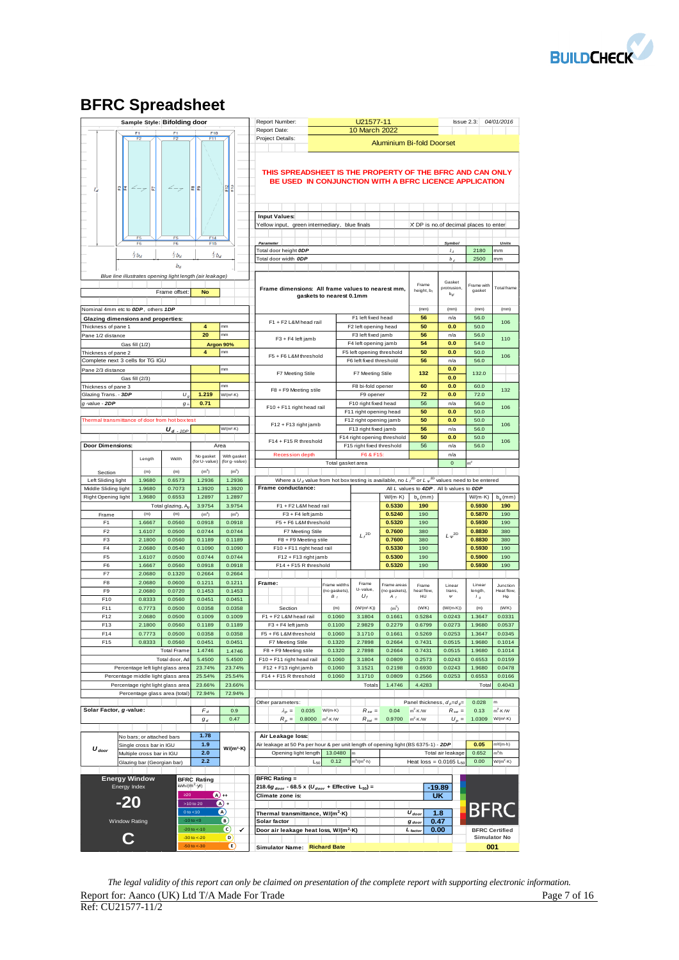

# **BFRC Spreadsheet**

|                                            | Sample Style: Bifolding door                             |                        |                                     |                               | Report Number:                                                                                                    |                               | U21577-11                                           |                                  |                                          |                                       | Issue 2.3: 04/01/2016 |                        |
|--------------------------------------------|----------------------------------------------------------|------------------------|-------------------------------------|-------------------------------|-------------------------------------------------------------------------------------------------------------------|-------------------------------|-----------------------------------------------------|----------------------------------|------------------------------------------|---------------------------------------|-----------------------|------------------------|
|                                            |                                                          | F <sub>1</sub>         | F <sub>10</sub>                     |                               | Report Date:                                                                                                      |                               | 10 March 2022                                       |                                  |                                          |                                       |                       |                        |
|                                            | F <sub>2</sub>                                           |                        | F11                                 |                               | Project Details:                                                                                                  |                               |                                                     | <b>Aluminium Bi-fold Doorset</b> |                                          |                                       |                       |                        |
|                                            |                                                          |                        |                                     |                               | THIS SPREADSHEET IS THE PROPERTY OF THE BFRC AND CAN ONLY                                                         |                               |                                                     |                                  |                                          |                                       |                       |                        |
|                                            |                                                          |                        |                                     |                               | BE USED IN CONJUNCTION WITH A BFRC LICENCE APPLICATION                                                            |                               |                                                     |                                  |                                          |                                       |                       |                        |
|                                            | 운분<br>$\angle -$<br>E                                    |                        | 운문                                  | 읪운                            |                                                                                                                   |                               |                                                     |                                  |                                          |                                       |                       |                        |
|                                            |                                                          |                        |                                     |                               |                                                                                                                   |                               |                                                     |                                  |                                          |                                       |                       |                        |
|                                            |                                                          |                        |                                     |                               |                                                                                                                   |                               |                                                     |                                  |                                          |                                       |                       |                        |
|                                            |                                                          |                        |                                     |                               | <b>Input Values:</b>                                                                                              |                               |                                                     |                                  |                                          |                                       |                       |                        |
|                                            |                                                          |                        |                                     |                               | Yellow input, green intermediary, blue finals                                                                     |                               |                                                     |                                  |                                          | X DP is no.of decimal places to enter |                       |                        |
|                                            | F <sub>5</sub><br>F <sub>6</sub>                         | F <sub>5</sub><br>F6   | F <sub>14</sub><br>F <sub>15</sub>  |                               | Parameter                                                                                                         |                               |                                                     |                                  |                                          | Symbol                                |                       | Units                  |
|                                            | $\frac{1}{3}b_d$                                         | $\frac{1}{3}b_d$       | $\frac{1}{3}b_d$                    |                               | Total door height ODP                                                                                             |                               |                                                     |                                  |                                          | $l_{A}$                               | 2180                  | mm                     |
|                                            |                                                          |                        |                                     |                               | Total door width ODP                                                                                              |                               |                                                     |                                  |                                          | $b_d$                                 | 2500                  | mm                     |
|                                            |                                                          | $b_d$                  |                                     |                               |                                                                                                                   |                               |                                                     |                                  |                                          |                                       |                       |                        |
|                                            | Blue line illustrates opening light length (air leakage) |                        |                                     |                               |                                                                                                                   |                               |                                                     |                                  | Frame                                    | Gasket                                | Frame with            |                        |
|                                            |                                                          | Frame offset:          | <b>No</b>                           |                               | Frame dimensions: All frame values to nearest mm,                                                                 | gaskets to nearest 0.1mm      |                                                     |                                  | height, b,                               | protrusion<br>$b_{gt}$                | gasket                | <b>Total</b> frame     |
|                                            |                                                          |                        |                                     |                               |                                                                                                                   |                               |                                                     |                                  |                                          |                                       |                       |                        |
|                                            | Nominal 4mm etc to ODP, others 1DP                       |                        |                                     |                               |                                                                                                                   |                               |                                                     |                                  | (mm)                                     | (mm)                                  | (mm)                  | (mm)                   |
| Thickness of pane 1                        | Glazing dimensions and properties:                       |                        | 4                                   | mm                            | F1 + F2 L&M head rail                                                                                             |                               | F1 left fixed head<br>F2 left opening head          |                                  | 56<br>50                                 | n/a<br>0.0                            | 56.0<br>50.0          | 106                    |
| Pane 1/2 distance                          |                                                          |                        | 20                                  | mm                            |                                                                                                                   |                               | F3 left fixed jamb                                  |                                  | 56                                       | n/a                                   | 56.0                  |                        |
|                                            | Gas fill (1/2)                                           |                        |                                     | Argon 90%                     | F3 + F4 left jamb                                                                                                 |                               | F4 left opening jamb                                |                                  | 54                                       | 0.0                                   | 54.0                  | 110                    |
| Thickness of pane 2                        |                                                          |                        | 4                                   | mm                            | F5 + F6 L&M threshold                                                                                             |                               | F5 left opening threshold                           |                                  | 50                                       | 0.0                                   | 50.0                  | 106                    |
|                                            | Complete next 3 cells for TG IGU                         |                        |                                     |                               |                                                                                                                   |                               | F6 left fixed threshold                             |                                  | 56                                       | n/a                                   | 56.0                  |                        |
| Pane 2/3 distance                          |                                                          |                        |                                     | mm                            | F7 Meeting Stile                                                                                                  |                               | F7 Meeting Stile                                    |                                  | 132                                      | 0.0<br>0.0                            | 132.0                 |                        |
| Thickness of pane 3                        | Gas fill (2/3)                                           |                        |                                     | mm                            |                                                                                                                   |                               | F8 bi-fold opener                                   |                                  | 60                                       | 0.0                                   | 60.0                  |                        |
| Glazing Trans. - 3DP                       |                                                          | $U_{i}$                | 1.219                               | W/(m <sup>2</sup> ·K)         | F8 + F9 Meeting stile                                                                                             |                               | F9 opener                                           |                                  | 72                                       | 0.0                                   | 72.0                  | 132                    |
| g-value - 2DP                              |                                                          | $g_{\perp}$            | 0.71                                |                               | F10 + F11 right head rail                                                                                         |                               | F10 right fixed head                                |                                  | 56                                       | n/a                                   | 56.0                  | 106                    |
|                                            |                                                          |                        |                                     |                               |                                                                                                                   |                               | F11 right opening head                              |                                  | 50                                       | 0.0                                   | 50.0                  |                        |
|                                            | Thermal transmittance of door from hot box test          |                        |                                     | W/(m <sup>2</sup> ·K)         | F12 + F13 right jamb                                                                                              |                               | F12 right opening jamb                              |                                  | 50<br>56                                 | 0.0<br>n/a                            | 50.0<br>56.0          | 106                    |
|                                            |                                                          | $U_d$ . <sub>2DP</sub> |                                     |                               |                                                                                                                   |                               | F13 right fixed jamb<br>F14 right opening threshold |                                  | 50                                       | 0.0                                   | 50.0                  |                        |
| <b>Door Dimensions:</b>                    |                                                          |                        |                                     | Area                          | F14 + F15 R threshold                                                                                             |                               | F15 right fixed threshold                           |                                  | 56                                       | n/a                                   | 56.0                  | 106                    |
|                                            | Length                                                   | Width                  | No gasket                           | With gasket                   | <b>Recession depth</b>                                                                                            |                               | F6 & F15:                                           |                                  |                                          | n/a                                   |                       |                        |
|                                            |                                                          |                        | (for U-value)                       | (for g-value)                 |                                                                                                                   | Total gasket area             |                                                     |                                  |                                          | $\mathbf 0$                           |                       |                        |
| Section                                    | (m)                                                      | (m)                    | (m <sup>2</sup> )                   | (m <sup>2</sup> )             | Where a $U_d$ value from hot box testing is available, no $L_f^{2D}$ or $L_{\psi}^{2D}$ values need to be entered |                               |                                                     |                                  |                                          |                                       |                       |                        |
| Left Sliding light<br>Middle Sliding light | 1.9680<br>1.9680                                         | 0.6573<br>0.7073       | 1.2936<br>1.3920                    | 1.2936<br>1.3920              | Frame conductance:                                                                                                |                               |                                                     |                                  | All L values to 4DP. All b values to ODP |                                       |                       |                        |
| Right Opening light                        | 1.9680                                                   | 0.6553                 | 1.2897                              | 1.2897                        |                                                                                                                   |                               |                                                     | $W/(m \cdot K)$                  | $b_p$ (mm)                               |                                       | $W/(m \cdot K)$       | b <sub>a</sub> (mm)    |
|                                            |                                                          | Total glazing, A       | 3.9754                              | 3.9754                        | F1 + F2 L&M head rail                                                                                             |                               |                                                     | 0.5330                           | 190                                      |                                       | 0.5930                | 190                    |
| Frame                                      | (m)                                                      | (m)                    | (m <sup>2</sup> )                   | (m <sup>2</sup> )             | $F3 + F4$ left jamb                                                                                               |                               |                                                     | 0.5240                           | 190                                      |                                       | 0.5870                | 190                    |
| F <sub>1</sub><br>F <sub>2</sub>           | 1.6667<br>1.6107                                         | 0.0560<br>0.0500       | 0.0918<br>0.0744                    | 0.0918<br>0.0744              | F5 + F6 L&M threshold<br>F7 Meeting Stile                                                                         |                               |                                                     | 0.5320<br>0.7600                 | 190<br>380                               |                                       | 0.5930<br>0.8830      | 190<br>380             |
|                                            |                                                          |                        |                                     |                               |                                                                                                                   |                               | $L_f^{~\rm 2D}$                                     | 0.7600                           | 380                                      | $L \varphi^{2\mathsf{D}}$             | 0.8830                | 380                    |
|                                            |                                                          |                        |                                     |                               |                                                                                                                   |                               |                                                     |                                  |                                          |                                       |                       |                        |
| F <sub>3</sub><br>F4                       | 2.1800<br>2.0680                                         | 0.0560<br>0.0540       | 0.1189<br>0.1090                    | 0.1189<br>0.1090              | F8 + F9 Meeting stile<br>F10 + F11 right head rail                                                                |                               |                                                     | 0.5330                           | 190                                      |                                       | 0.5930                | 190                    |
| F <sub>5</sub>                             | 1.6107                                                   | 0.0500                 | 0.0744                              | 0.0744                        | F12 + F13 right jamb                                                                                              |                               |                                                     | 0.5300                           | 190                                      |                                       | 0.5900                | 190                    |
| F6                                         | 1.6667                                                   | 0.0560                 | 0.0918                              | 0.0918                        | F14 + F15 R threshold                                                                                             |                               |                                                     | 0.5320                           | 190                                      |                                       | 0.5930                | 190                    |
| F7                                         | 2.0680                                                   | 0.1320                 | 0.2664                              | 0.2664                        |                                                                                                                   |                               |                                                     |                                  |                                          |                                       |                       |                        |
| F8<br>F9                                   | 2.0680                                                   | 0.0600                 | 0.1211                              | 0.1211                        | Frame:                                                                                                            | Frame widths<br>(no gaskets). | Frame<br>U-value,                                   | Frame areas<br>(no gaskets).     | Frame<br>heat flow.                      | Linear                                | Linear<br>length,     | Junction<br>Heat flow, |
| F10                                        | 2.0680<br>0.8333                                         | 0.0720<br>0.0560       | 0.1453<br>0.0451                    | 0.1453<br>0.0451              |                                                                                                                   | B <sub>f</sub>                | $U_{1}$                                             | $A_{f}$                          | HU                                       | trans,<br>$\pmb{\psi}$                | $l_g$                 | $H\Phi$                |
| F11                                        | 0.7773                                                   | 0.0500                 | 0.0358                              | 0.0358                        | Section                                                                                                           | (m)                           | (W/(m <sup>2</sup> ·K))                             | (m <sup>2</sup> )                | (W/K)                                    | $(W/(m-K))$                           | (m)                   | (WWK)                  |
| F12                                        | 2.0680                                                   | 0.0500                 | 0.1009                              | 0.1009                        | F1 + F2 L&M head rail                                                                                             | 0.1060                        | 3.1804                                              | 0.1661                           | 0.5284                                   | 0.0243                                | 1.3647                | 0.0331                 |
| F13                                        | 2.1800                                                   | 0.0560                 | 0.1189                              | 0.1189                        | F3 + F4 left jamb                                                                                                 | 0.1100                        | 2.9829                                              | 0.2279                           | 0.6799                                   | 0.0273                                | 1.9680                | 0.0537                 |
| F14                                        | 0.7773                                                   | 0.0500                 | 0.0358                              | 0.0358                        | F5 + F6 L&M threshold                                                                                             | 0.1060                        | 3.1710                                              | 0.1661                           | 0.5269                                   | 0.0253                                | 1.3647                | 0.0345                 |
| F15                                        | 0.8333                                                   | 0.0560<br>Total Frame  | 0.0451<br>1.4746                    | 0.0451<br>1.4746              | F7 Meeting Stile<br>F8 + F9 Meeting stile                                                                         | 0.1320<br>0.1320              | 2.7898<br>2.7898                                    | 0.2664<br>0.2664                 | 0.7431<br>0.7431                         | 0.0515<br>0.0515                      | 1.9680<br>1.9680      | 0.1014<br>0.1014       |
|                                            |                                                          | Total door, Ad         | 5.4500                              | 5.4500                        | F10 + F11 right head rail                                                                                         | 0.1060                        | 3.1804                                              | 0.0809                           | 0.2573                                   | 0.0243                                | 0.6553                | 0.0159                 |
|                                            | Percentage left light glass area                         |                        | 23.74%                              | 23.74%                        | F12 + F13 right jamb                                                                                              | 0.1060                        | 3.1521                                              | 0.2198                           | 0.6930                                   | 0.0243                                | 1.9680                | 0.0478                 |
|                                            | Percentage middle light glass area                       |                        | 25.54%                              | 25.54%                        | F14 + F15 R threshold                                                                                             | 0.1060                        | 3.1710                                              | 0.0809                           | 0.2566                                   | 0.0253                                | 0.6553                | 0.0166                 |
|                                            | Percentage right light glass area                        |                        | 23.66%                              | 23.66%                        |                                                                                                                   |                               | Totals                                              | 1.4746                           | 4.4283                                   |                                       | Tota                  | 0.4043                 |
|                                            | Percentage glass area (total)                            |                        | 72.94%                              | 72.94%                        | Other parameters:                                                                                                 |                               |                                                     |                                  | Panel thickness, $d_p = d_q =$           |                                       | 0.028                 | m                      |
| Solar Factor, g-value:                     |                                                          |                        | $F_d$                               | 0.9                           | 0.035<br>$\lambda_p =$                                                                                            | $W/(m-K)$                     | $R_{se} =$                                          | 0.04                             | $m^2$ -K /W                              | $R_{se} =$                            | 0.13                  | $m^2$ -K /W            |
|                                            |                                                          |                        | $g_d$                               | 0.47                          | $R_p =$<br>0.8000                                                                                                 | $m^2$ -K/W                    | $R_{tot} =$                                         | 0.9700                           | $m^2$ -K/W                               | $U_p =$                               | 1.0309                | W/(m <sup>2</sup> -K)  |
|                                            |                                                          |                        |                                     |                               |                                                                                                                   |                               |                                                     |                                  |                                          |                                       |                       |                        |
|                                            | No bars; or attached bars                                |                        | 1.78<br>1.9                         |                               | Air Leakage loss:                                                                                                 |                               |                                                     |                                  |                                          |                                       | 0.05                  | m <sup>3</sup> /(m-h)  |
| $U_{door}$                                 | Single cross bar in IGU<br>Multiple cross bar in IGU     |                        | 2.0                                 | W/(m <sup>2</sup> -K)         | Air leakage at 50 Pa per hour & per unit length of opening light (BS 6375-1) - 2DP<br>Opening light length        | 13.0480                       |                                                     |                                  |                                          | Total air leakage                     | 0.652                 | $m^3/h$                |
|                                            | Glazing bar (Georgian bar)                               |                        | 2.2                                 |                               | Lsc                                                                                                               | 0.12                          | $m^3/(m^2 \cdot h)$                                 |                                  | Heat loss = $0.0165$ L <sub>51</sub>     |                                       | 0.00                  | $W/(m^2 \cdot K)$      |
|                                            |                                                          |                        |                                     |                               |                                                                                                                   |                               |                                                     |                                  |                                          |                                       |                       |                        |
|                                            | <b>Energy Window</b>                                     |                        | <b>BFRC Rating</b>                  |                               | <b>BFRC Rating =</b>                                                                                              |                               |                                                     |                                  |                                          |                                       |                       |                        |
|                                            | Energy Index                                             | $\geq 20$              | kWh/(m <sup>2</sup> ·yr)            |                               | 218.6g door - 68.5 x ( $U_{door}$ + Effective $L_{50}$ ) =                                                        |                               |                                                     |                                  |                                          | -19.89                                |                       |                        |
|                                            |                                                          |                        | >10 to 20                           | $(A) +$<br>(A) +              | Climate zone is:                                                                                                  |                               |                                                     |                                  |                                          | <b>UK</b>                             |                       |                        |
|                                            | -20                                                      |                        | $0$ to $< 10$                       | $\mathbf{A}$                  | Thermal transmittance, W/(m <sup>2</sup> ·K)                                                                      |                               |                                                     |                                  | $U_{door}$                               | 1.8                                   | <b>BFRC</b>           |                        |
|                                            | <b>Window Rating</b>                                     |                        | $-10$ to $< 0$                      | O)                            | Solar factor                                                                                                      |                               |                                                     |                                  | $g_{\text{door}}$                        | 0.47                                  |                       |                        |
|                                            |                                                          |                        | $-20$ to $< -10$<br>$-30$ to $<-20$ | $\circ$<br>$\checkmark$<br>D. | Door air leakage heat loss, W/(m <sup>2</sup> ·K)                                                                 |                               |                                                     |                                  | $L_{factor}$                             | 0.00                                  | <b>Simulator No</b>   | <b>BFRC Certified</b>  |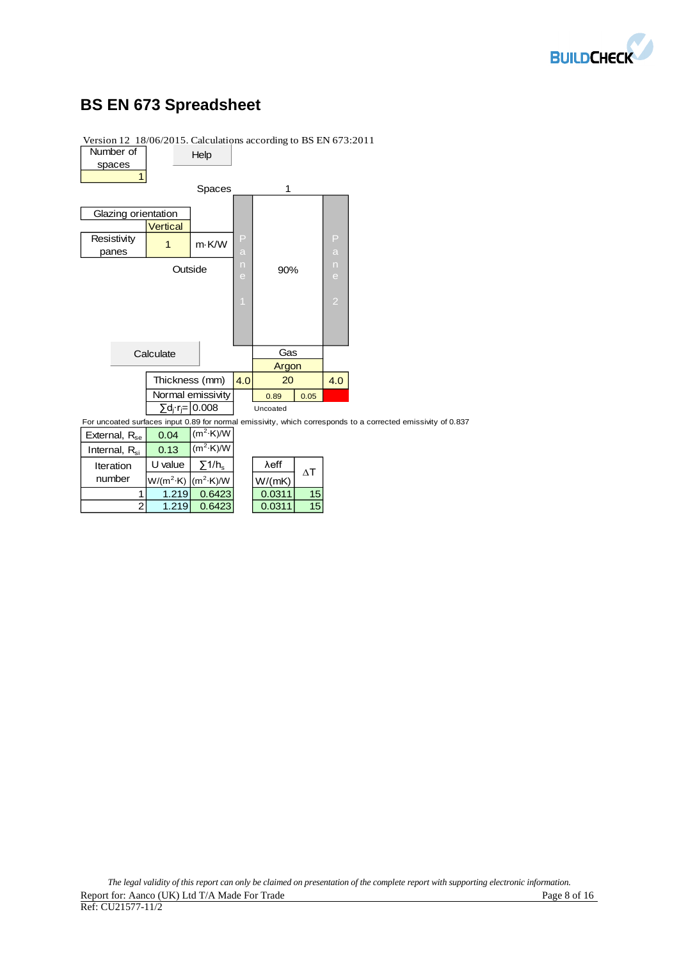

# **BS EN 673 Spreadsheet**

Internal,  $R_{si}$  0.13

Iteration number

 $\frac{W/(m^2 \cdot K)}{1.219}$ 



 $(m<sup>2</sup>·K)$ /W

 $(m^2·K)/W$ 

1 1.219 0.6423 0.0311 15 2 1.219 0.6423 0.0311 15

 $ΔT$ 

Version 12 18/06/2015. Calculations according to BS EN 673:2011

| The legal validity of this report can only be claimed on presentation of the complete report with supporting electronic information. |              |
|--------------------------------------------------------------------------------------------------------------------------------------|--------------|
| Report for: Aanco (UK) Ltd T/A Made For Trade                                                                                        | Page 8 of 16 |
| Ref: CU21577-11/2                                                                                                                    |              |

U value  $\left[\begin{array}{c|c} \sum_{i=1}^{n} 1/h_{\rm s} & \lambda \end{array}\right]$  λeff  $\left[\begin{array}{c|c} \lambda & \lambda \end{array}\right]$ 

∙K)/W | W/(mK) | W/(mK) W/(mK) W/(mK) W/(mK) W/(mK) W/(mK) W/(mK) W/(mK) W/(mK) W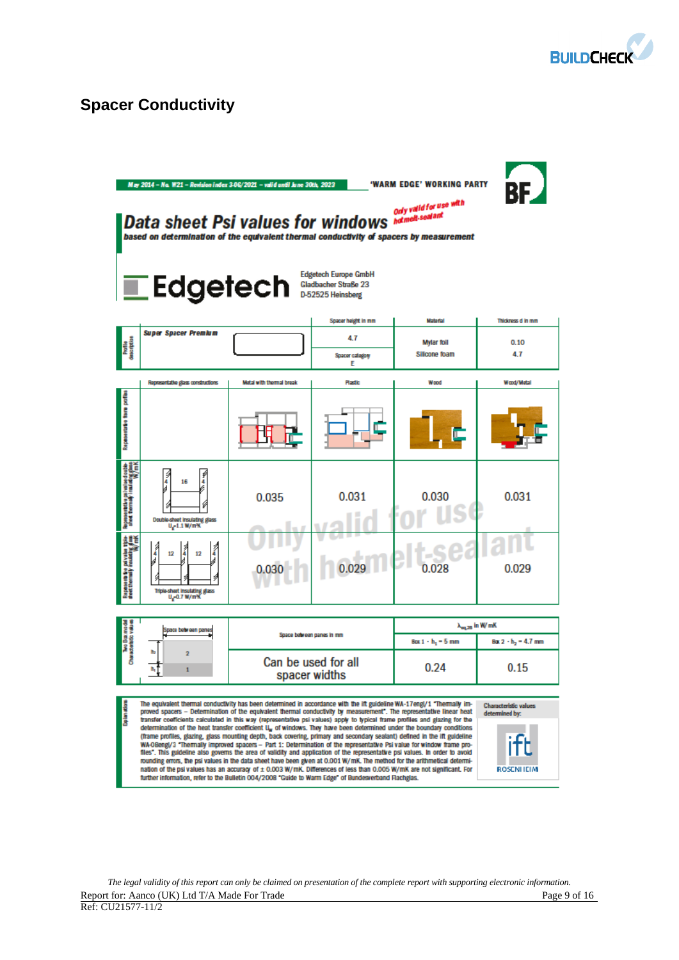

# **Spacer Conductivity**

|                                                                                                        | May 2014 - No. W21 - Revision index 3-06/2021 - valid until June 30th, 2023<br>Data sheet Psi values for windows <b>Maturell</b> .sealant<br>based on determination of the equivalent thermal conductivity of spacers by measurement<br>$\blacksquare$ Edgetech                                                                                                                                                                                                                                                                                                                                                                                                                                                                                                                                                                                                                                                                                                                                                                                                                                                                                                                                                                                                                                                               |                                      | <b>Edgetech Europe GmbH</b><br>Gladbacher Straße 23<br>D-52525 Heinsberg | 'WARM EDGE' WORKING PARTY<br>Only valid for use with | BE                             |
|--------------------------------------------------------------------------------------------------------|-------------------------------------------------------------------------------------------------------------------------------------------------------------------------------------------------------------------------------------------------------------------------------------------------------------------------------------------------------------------------------------------------------------------------------------------------------------------------------------------------------------------------------------------------------------------------------------------------------------------------------------------------------------------------------------------------------------------------------------------------------------------------------------------------------------------------------------------------------------------------------------------------------------------------------------------------------------------------------------------------------------------------------------------------------------------------------------------------------------------------------------------------------------------------------------------------------------------------------------------------------------------------------------------------------------------------------|--------------------------------------|--------------------------------------------------------------------------|------------------------------------------------------|--------------------------------|
|                                                                                                        | <b>Super Spacer Premium</b>                                                                                                                                                                                                                                                                                                                                                                                                                                                                                                                                                                                                                                                                                                                                                                                                                                                                                                                                                                                                                                                                                                                                                                                                                                                                                                   |                                      | Spacer height in mm                                                      | <b>Material</b>                                      | Thickness d in mm              |
| Profile<br>description                                                                                 |                                                                                                                                                                                                                                                                                                                                                                                                                                                                                                                                                                                                                                                                                                                                                                                                                                                                                                                                                                                                                                                                                                                                                                                                                                                                                                                               |                                      | 4.7<br>Spacer category<br>Ε                                              | <b>Mylar foil</b><br>Silicone foam                   | 0.10<br>4.7                    |
|                                                                                                        | Representative glass constructions                                                                                                                                                                                                                                                                                                                                                                                                                                                                                                                                                                                                                                                                                                                                                                                                                                                                                                                                                                                                                                                                                                                                                                                                                                                                                            | Motal with thermal break             | <b>Plastic</b>                                                           | Wood                                                 | Wood/Matal                     |
| Representative from portion                                                                            |                                                                                                                                                                                                                                                                                                                                                                                                                                                                                                                                                                                                                                                                                                                                                                                                                                                                                                                                                                                                                                                                                                                                                                                                                                                                                                                               |                                      |                                                                          |                                                      |                                |
| Representative policelles double<br>sined thermally insulating glass<br>Note thermally insulating Vm K | J<br>16<br>4<br>Double-sheet insulating glass<br>$U_q$ -1.1 W/m%                                                                                                                                                                                                                                                                                                                                                                                                                                                                                                                                                                                                                                                                                                                                                                                                                                                                                                                                                                                                                                                                                                                                                                                                                                                              | 0.035                                | 0.031                                                                    | 0.030                                                | 0.031                          |
| Representa del palvales trios<br>Inet thermally insulating glass<br>Willich                            | Î<br>Î<br>12<br>12<br>¥<br>Tripia-sheet insulating glass<br>$U_{\rm g}$ = 0.7 W/m%                                                                                                                                                                                                                                                                                                                                                                                                                                                                                                                                                                                                                                                                                                                                                                                                                                                                                                                                                                                                                                                                                                                                                                                                                                            |                                      |                                                                          | 0.028                                                | 0.029                          |
|                                                                                                        |                                                                                                                                                                                                                                                                                                                                                                                                                                                                                                                                                                                                                                                                                                                                                                                                                                                                                                                                                                                                                                                                                                                                                                                                                                                                                                                               |                                      |                                                                          |                                                      | $\lambda_{\rm eq, 25}$ in W/mK |
| an mang sa Basang da<br>mula dialambang                                                                | Space between panes                                                                                                                                                                                                                                                                                                                                                                                                                                                                                                                                                                                                                                                                                                                                                                                                                                                                                                                                                                                                                                                                                                                                                                                                                                                                                                           | Space between panes in mm            |                                                                          | Box 1 - h <sub>1</sub> = 5 mm                        | $Bar 2 - h2 = 4.7$ mm          |
|                                                                                                        | 2<br>1                                                                                                                                                                                                                                                                                                                                                                                                                                                                                                                                                                                                                                                                                                                                                                                                                                                                                                                                                                                                                                                                                                                                                                                                                                                                                                                        | Can be used for all<br>spacer widths |                                                                          | 0.24                                                 | 0.15                           |
| Explanation                                                                                            | The equivalent thermal conductivity has been determined in accordance with the ift guideline WA-17engl/1 "Thermally im-<br>Characteristic values<br>proved spacers – Determination of the equivalent thermal conductivity by measurement". The representative linear heat<br>determined by:<br>transfer coefficients calculated in this way (representative psi values) apply to typical frame profiles and glazing for the<br>determination of the heat transfer coefficient U, of windows. They have been determined under the boundary conditions<br>(frame profiles, glazing, glass mounting depth, back covering, primary and secondary sealant) defined in the ift guideline<br>WA-0Bengl/3 "Thermally improved spacers - Part 1: Determination of the representative Psi value for window frame pro-<br>files". This guideline also governs the area of validity and application of the representative psi values. In order to avoid<br>rounding errors, the psi values in the data sheet have been given at 0.001 W/mK. The method for the arithmetical determi-<br>nation of the psi values has an accuracy of ± 0.003 W/mK. Differences of less than 0.005 W/mK are not significant. For<br><b>ROSENHEIM</b><br>further information, refer to the Bulletin 004/2008 "Guide to Warm Edge" of Bundesverband Rachglas. |                                      |                                                                          |                                                      |                                |

*The legal validity of this report can only be claimed on presentation of the complete report with supporting electronic information.*  Report for: Aanco (UK) Ltd T/A Made For Trade **Page 9** of 16 Ref: CU21577-11/2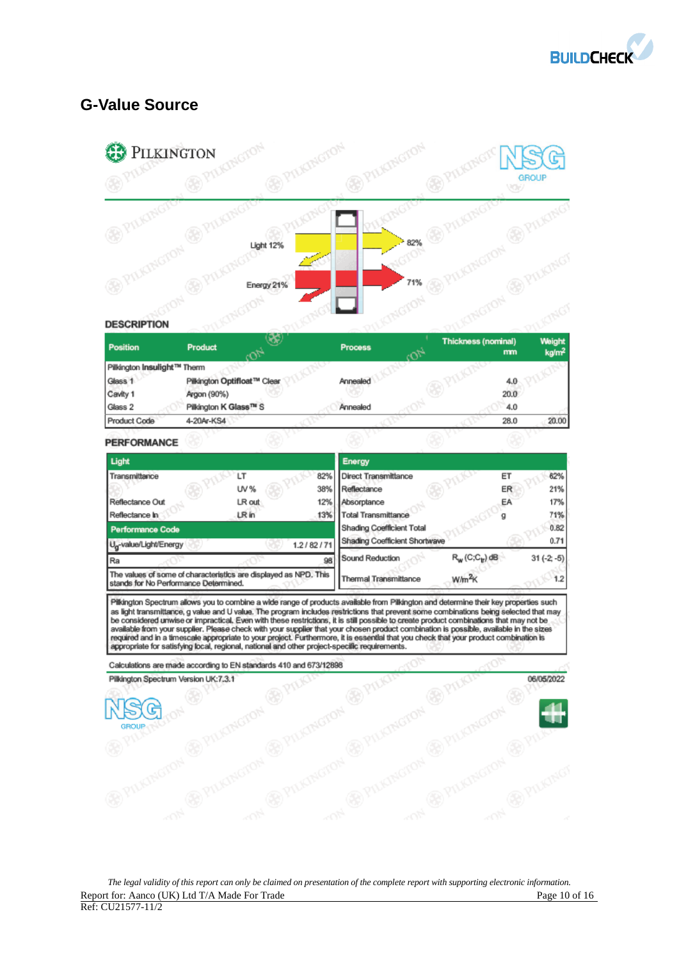

# **G-Value Source**



| Position                    | <b>Product</b>              | <b>Process</b> | Thickness (nominal)<br>mm | Weight<br>kg/m <sup>2</sup> |
|-----------------------------|-----------------------------|----------------|---------------------------|-----------------------------|
| Pilkington Insulight™ Therm |                             |                |                           |                             |
| Glass 1                     | Pilkington Optifloat™ Clear | Annealed       | 4.0                       |                             |
| Cavity 1                    | Argon (90%)                 |                | 20.0                      |                             |
| Glass 2                     | Pilkington K Glass™ S       | Annealed       | 4.0                       |                             |
| <b>Product Code</b>         | 4-20Ar-KS4                  |                | 28.0                      | 20.00                       |
| <b>PERFORMANCE</b>          |                             |                |                           |                             |

| Light                                                                                                     |        |           | Energy                        |                    |    |              |
|-----------------------------------------------------------------------------------------------------------|--------|-----------|-------------------------------|--------------------|----|--------------|
| Transmittance                                                                                             | LΤ     | 82%       | <b>Direct Transmittance</b>   |                    | ET | 62%          |
|                                                                                                           | UV%    | 38%       | Reflectance                   |                    | ER | 21%          |
| Reflectance Out                                                                                           | LR out | 12%       | Absorptance                   |                    | EA | 17%          |
| Reflectance In                                                                                            | LR in  | 13%       | <b>Total Transmittance</b>    |                    |    | 71%          |
| <b>Performance Code</b>                                                                                   |        |           | Shading Coefficient Total     |                    |    | 0.82         |
| U <sub>n</sub> -value/Light/Energy                                                                        |        | 1.2/82/71 | Shading Coefficient Shortwave |                    |    | 0.71         |
| l Ra                                                                                                      |        | 98        | Sound Reduction               | $R_w(C;C_v)$ dB    |    | $31(-2; -5)$ |
| The values of some of characteristics are displayed as NPD. This<br>stands for No Performance Determined. |        |           | Thermal Transmittance         | W/m <sup>2</sup> K |    | 1.2          |

Pilkington Spectrum allows you to combine a wide range of products available from Pilkington and determine their key properties such Principal of Special Mateury and U. Specified in the program includes available from Principal and determine their key properties such<br>a light framsmittance, g value and U value. The program includes restrictions that prev

Calculations are made according to EN standards 410 and 673/12898 Pilkington Spectrum Version UK:7.3.1 06/05/2022 4 G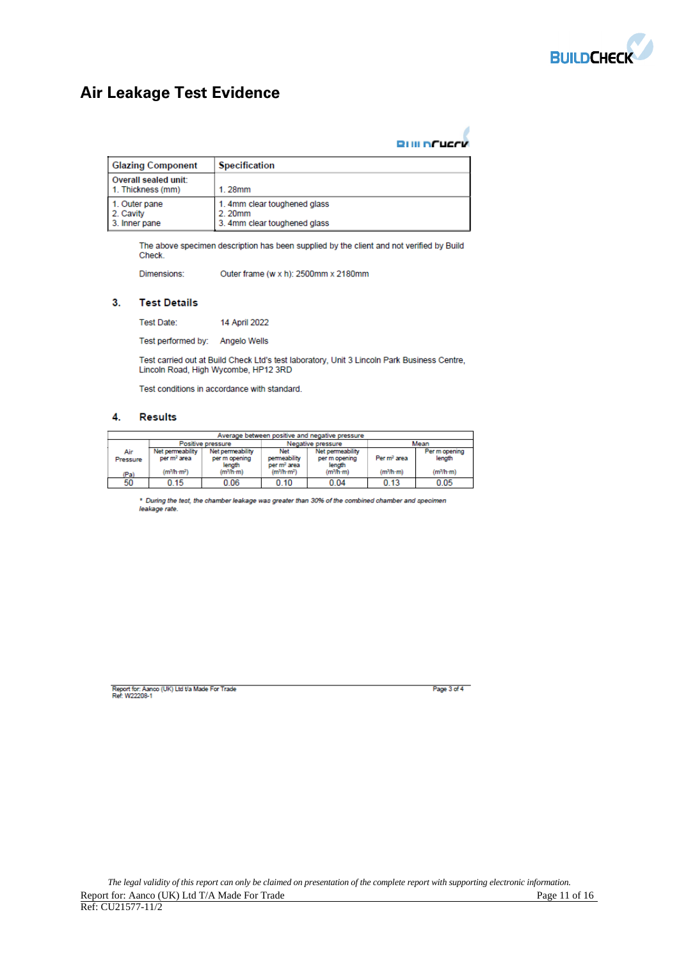

# **Air Leakage Test Evidence**

| <b>BUILDFUCCK</b> |
|-------------------|

| <b>Glazing Component</b>                    | <b>Specification</b>                                                   |
|---------------------------------------------|------------------------------------------------------------------------|
| Overall sealed unit:<br>1. Thickness (mm)   | 1.28mm                                                                 |
| 1. Outer pane<br>2. Cavity<br>3. Inner pane | 1. 4mm clear toughened glass<br>2.20mm<br>3. 4mm clear toughened glass |

The above specimen description has been supplied by the client and not verified by Build Check.

Dimensions: Outer frame (w x h): 2500mm x 2180mm

### $3.$ **Test Details**

Test Date: 14 April 2022

Test performed by: Angelo Wells

Test carried out at Build Check Ltd's test laboratory, Unit 3 Lincoln Park Business Centre, Lincoln Road, High Wycombe, HP12 3RD

Test conditions in accordance with standard.

#### 4. **Results**

| Average between positive and negative pressure |                                                |                                             |                                                |                                             |                         |                         |
|------------------------------------------------|------------------------------------------------|---------------------------------------------|------------------------------------------------|---------------------------------------------|-------------------------|-------------------------|
|                                                | Mean<br>Negative pressure<br>Positive pressure |                                             |                                                |                                             |                         |                         |
| Air<br>Pressure                                | Net permeability<br>per m <sup>2</sup> area    | Net permeability<br>per m opening<br>length | Net<br>permeability<br>per m <sup>2</sup> area | Net permeability<br>per m opening<br>length | Per m <sup>2</sup> area | Per m opening<br>length |
| (Pa)                                           | (m <sup>3</sup> /h·m <sup>2</sup> )            | (m <sup>3</sup> /h·m)                       | (m <sup>3</sup> /h·m <sup>2</sup> )            | (m <sup>3</sup> /h·m)                       | (m <sup>3</sup> /h·m)   | (m <sup>3</sup> /h·m)   |
| 50                                             | 0.15                                           | 0.06                                        | 0.10                                           | 0.04                                        | 0.13                    | 0.05                    |

\* During the test, the chamber leakage was greater than 30% of the combined chamber and specimen leakage rate.

Report for: Aanco (UK) Ltd t/a Made For Trade<br>Ref: W22208-1

Page 3 of 4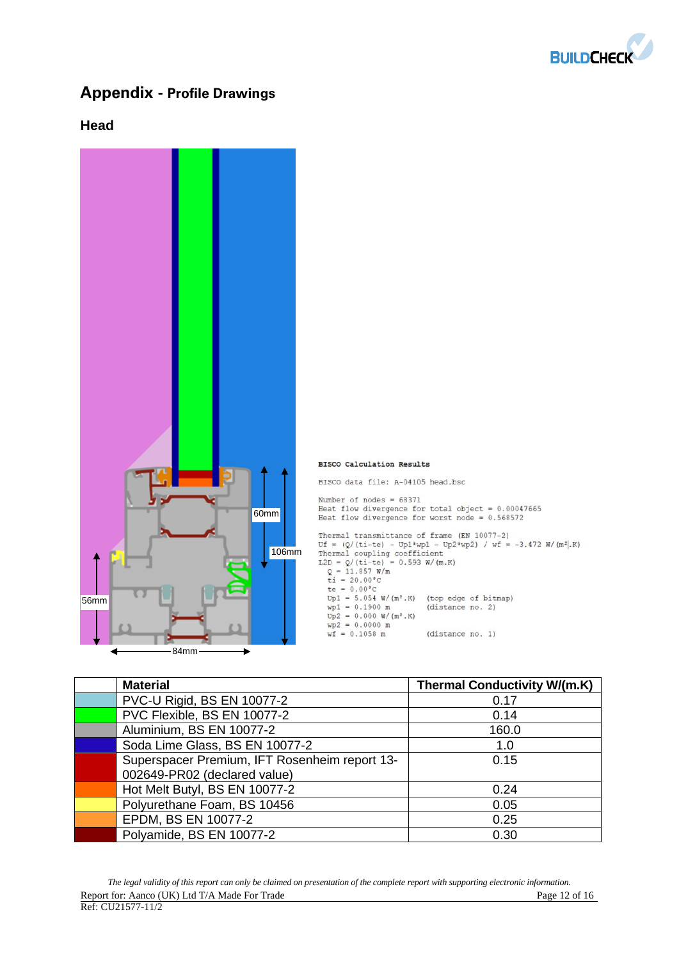

# **Appendix - Profile Drawings**

## **Head**



| <b>Material</b>                               | <b>Thermal Conductivity W/(m.K)</b> |
|-----------------------------------------------|-------------------------------------|
| PVC-U Rigid, BS EN 10077-2                    | 0.17                                |
| PVC Flexible, BS EN 10077-2                   | 0.14                                |
| Aluminium, BS EN 10077-2                      | 160.0                               |
| Soda Lime Glass, BS EN 10077-2                | 1.0                                 |
| Superspacer Premium, IFT Rosenheim report 13- | 0.15                                |
| 002649-PR02 (declared value)                  |                                     |
| Hot Melt Butyl, BS EN 10077-2                 | 0.24                                |
| Polyurethane Foam, BS 10456                   | 0.05                                |
| EPDM, BS EN 10077-2                           | 0.25                                |
| Polyamide, BS EN 10077-2                      | 0.30                                |

*The legal validity of this report can only be claimed on presentation of the complete report with supporting electronic information.*  Report for: Aanco (UK) Ltd T/A Made For Trade Page 12 of 16  $\overline{Ref: CU21577-11/2}$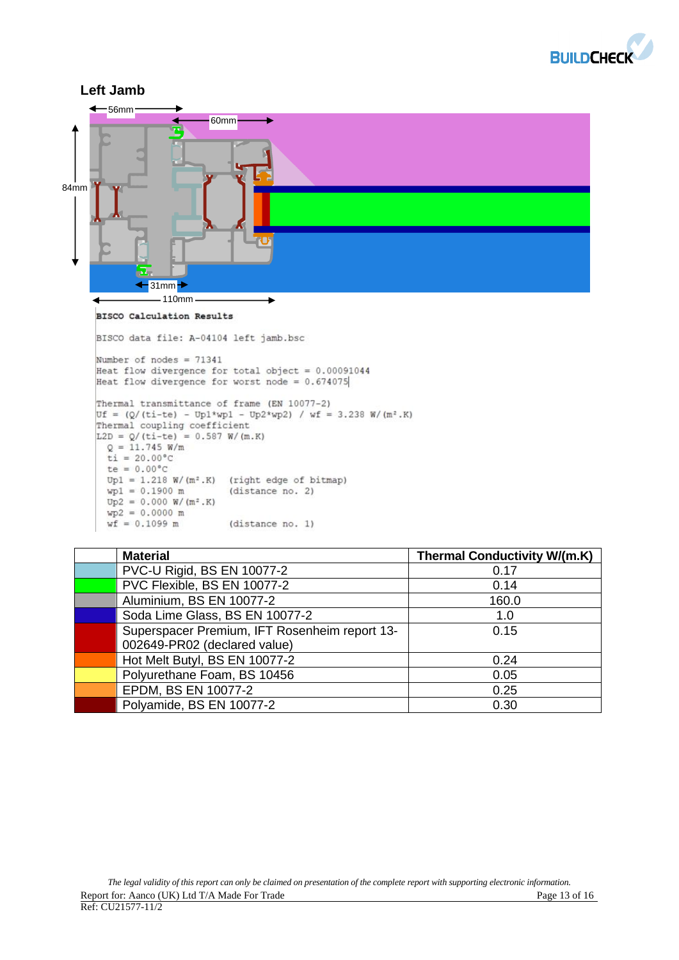



| <b>Material</b>                               | <b>Thermal Conductivity W/(m.K)</b> |
|-----------------------------------------------|-------------------------------------|
| PVC-U Rigid, BS EN 10077-2                    | 0.17                                |
| PVC Flexible, BS EN 10077-2                   | 0.14                                |
| Aluminium, BS EN 10077-2                      | 160.0                               |
| Soda Lime Glass, BS EN 10077-2                | 1.0                                 |
| Superspacer Premium, IFT Rosenheim report 13- | 0.15                                |
| 002649-PR02 (declared value)                  |                                     |
| Hot Melt Butyl, BS EN 10077-2                 | 0.24                                |
| Polyurethane Foam, BS 10456                   | 0.05                                |
| EPDM, BS EN 10077-2                           | 0.25                                |
| Polyamide, BS EN 10077-2                      | 0.30                                |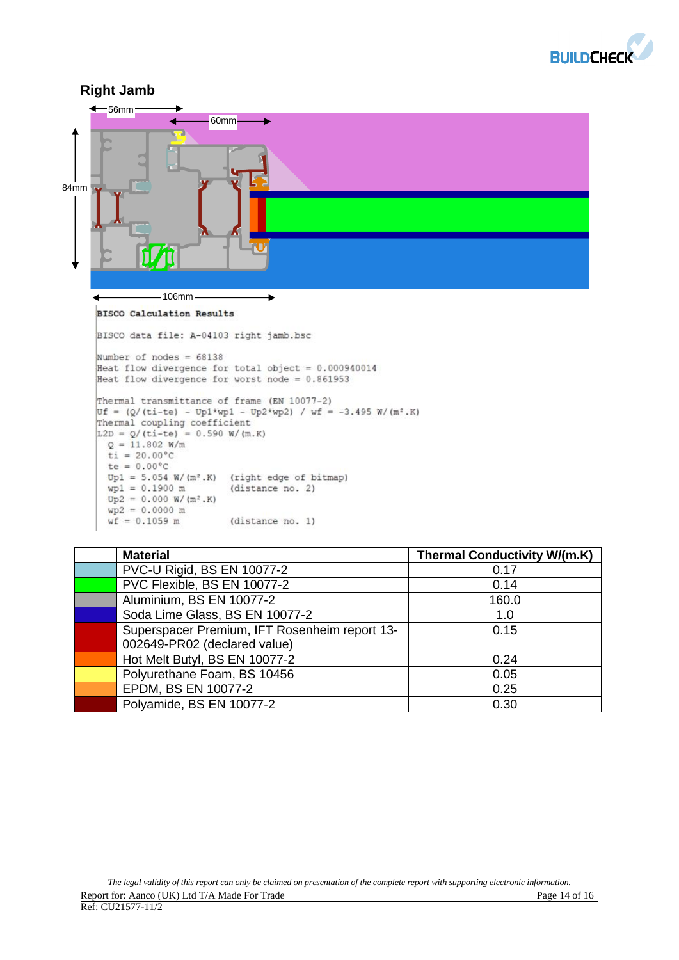



| <b>Material</b>                               | <b>Thermal Conductivity W/(m.K)</b> |
|-----------------------------------------------|-------------------------------------|
| PVC-U Rigid, BS EN 10077-2                    | 0.17                                |
| PVC Flexible, BS EN 10077-2                   | 0.14                                |
| Aluminium, BS EN 10077-2                      | 160.0                               |
| Soda Lime Glass, BS EN 10077-2                | 1.0                                 |
| Superspacer Premium, IFT Rosenheim report 13- | 0.15                                |
| 002649-PR02 (declared value)                  |                                     |
| Hot Melt Butyl, BS EN 10077-2                 | 0.24                                |
| Polyurethane Foam, BS 10456                   | 0.05                                |
| EPDM, BS EN 10077-2                           | 0.25                                |
| Polyamide, BS EN 10077-2                      | 0.30                                |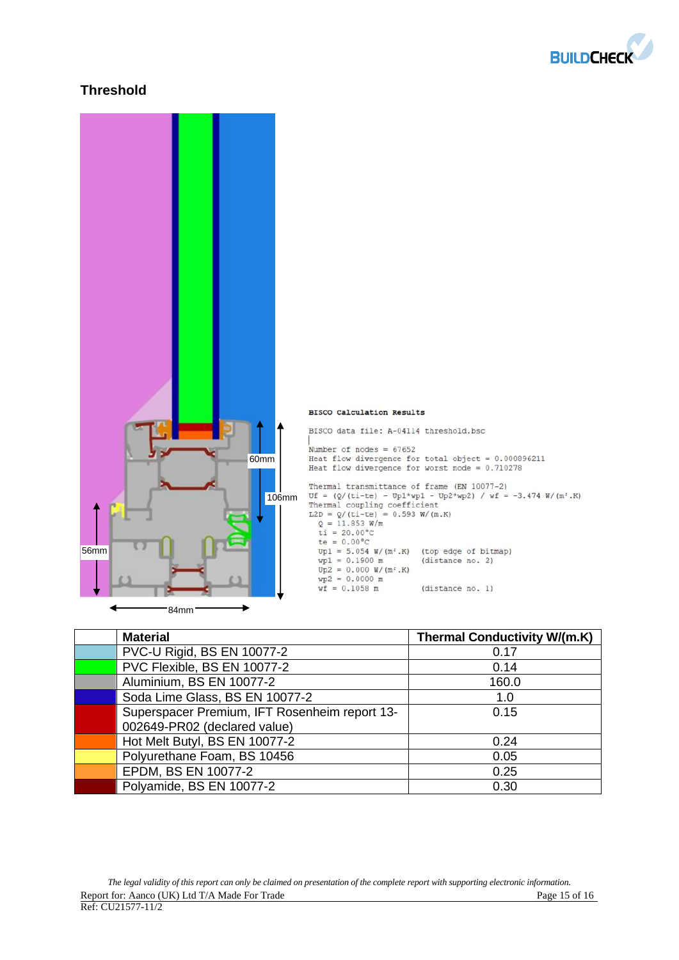

## **Threshold**



| <b>Material</b>                               | <b>Thermal Conductivity W/(m.K)</b> |
|-----------------------------------------------|-------------------------------------|
| PVC-U Rigid, BS EN 10077-2                    | 0.17                                |
| PVC Flexible, BS EN 10077-2                   | 0.14                                |
| Aluminium, BS EN 10077-2                      | 160.0                               |
| Soda Lime Glass, BS EN 10077-2                | 1.0                                 |
| Superspacer Premium, IFT Rosenheim report 13- | 0.15                                |
| 002649-PR02 (declared value)                  |                                     |
| Hot Melt Butyl, BS EN 10077-2                 | 0.24                                |
| Polyurethane Foam, BS 10456                   | 0.05                                |
| EPDM, BS EN 10077-2                           | 0.25                                |
| Polyamide, BS EN 10077-2                      | 0.30                                |

*The legal validity of this report can only be claimed on presentation of the complete report with supporting electronic information.*  Report for: Aanco (UK) Ltd T/A Made For Trade Page 15 of 16  $\overline{Ref: CU21577-11/2}$